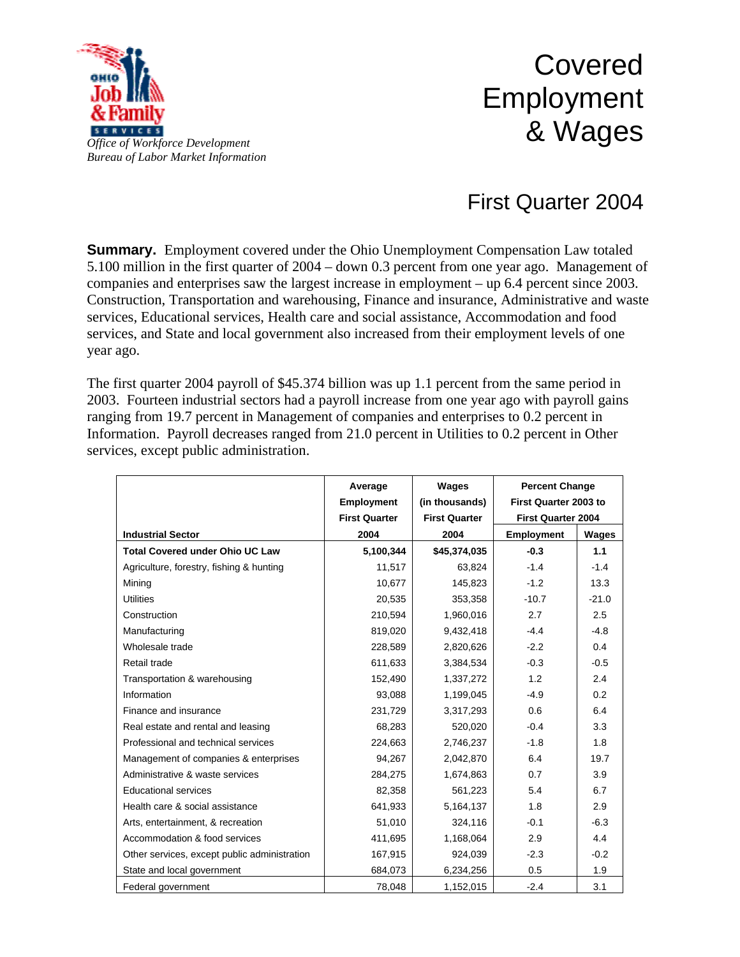

## Covered Employment & Wages

## First Quarter 2004

**Summary.** Employment covered under the Ohio Unemployment Compensation Law totaled 5.100 million in the first quarter of 2004 – down 0.3 percent from one year ago. Management of companies and enterprises saw the largest increase in employment – up 6.4 percent since 2003. Construction, Transportation and warehousing, Finance and insurance, Administrative and waste services, Educational services, Health care and social assistance, Accommodation and food services, and State and local government also increased from their employment levels of one year ago.

The first quarter 2004 payroll of \$45.374 billion was up 1.1 percent from the same period in 2003. Fourteen industrial sectors had a payroll increase from one year ago with payroll gains ranging from 19.7 percent in Management of companies and enterprises to 0.2 percent in Information. Payroll decreases ranged from 21.0 percent in Utilities to 0.2 percent in Other services, except public administration.

|                                              | Average              | Wages                | <b>Percent Change</b><br>First Quarter 2003 to |         |
|----------------------------------------------|----------------------|----------------------|------------------------------------------------|---------|
|                                              | Employment           | (in thousands)       |                                                |         |
|                                              | <b>First Quarter</b> | <b>First Quarter</b> | <b>First Quarter 2004</b>                      |         |
| <b>Industrial Sector</b>                     | 2004                 | 2004                 | <b>Employment</b>                              | Wages   |
| <b>Total Covered under Ohio UC Law</b>       | 5,100,344            | \$45,374,035         | $-0.3$                                         | 1.1     |
| Agriculture, forestry, fishing & hunting     | 11,517               | 63,824               | $-1.4$                                         | $-1.4$  |
| Mining                                       | 10,677               | 145,823              | $-1.2$                                         | 13.3    |
| <b>Utilities</b>                             | 20,535               | 353,358              | $-10.7$                                        | $-21.0$ |
| Construction                                 | 210,594              | 1,960,016            | 2.7                                            | 2.5     |
| Manufacturing                                | 819,020              | 9,432,418            | $-4.4$                                         | $-4.8$  |
| Wholesale trade                              | 228,589              | 2,820,626            | $-2.2$                                         | 0.4     |
| Retail trade                                 | 611,633              | 3,384,534            | $-0.3$                                         | $-0.5$  |
| Transportation & warehousing                 | 152,490              | 1,337,272            | 1.2                                            | 2.4     |
| Information                                  | 93,088               | 1,199,045            | $-4.9$                                         | 0.2     |
| Finance and insurance                        | 231,729              | 3,317,293            | 0.6                                            | 6.4     |
| Real estate and rental and leasing           | 68,283               | 520,020              | $-0.4$                                         | 3.3     |
| Professional and technical services          | 224,663              | 2,746,237            | $-1.8$                                         | 1.8     |
| Management of companies & enterprises        | 94,267               | 2,042,870            | 6.4                                            | 19.7    |
| Administrative & waste services              | 284,275              | 1,674,863            | 0.7                                            | 3.9     |
| <b>Educational services</b>                  | 82,358               | 561,223              | 5.4                                            | 6.7     |
| Health care & social assistance              | 641,933              | 5,164,137            | 1.8                                            | 2.9     |
| Arts, entertainment, & recreation            | 51,010               | 324,116              | $-0.1$                                         | $-6.3$  |
| Accommodation & food services                | 411,695              | 1,168,064            | 2.9                                            | 4.4     |
| Other services, except public administration | 167,915              | 924,039              | $-2.3$                                         | $-0.2$  |
| State and local government                   | 684,073              | 6,234,256            | 0.5                                            | 1.9     |
| Federal government                           | 78,048               | 1,152,015            | $-2.4$                                         | 3.1     |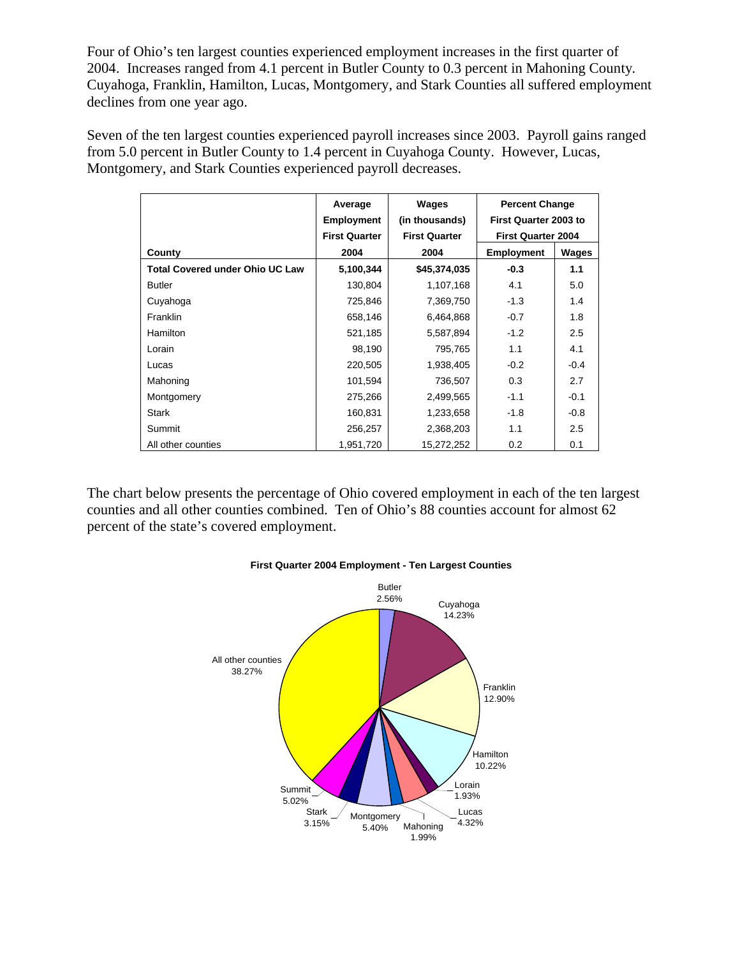Four of Ohio's ten largest counties experienced employment increases in the first quarter of 2004. Increases ranged from 4.1 percent in Butler County to 0.3 percent in Mahoning County. Cuyahoga, Franklin, Hamilton, Lucas, Montgomery, and Stark Counties all suffered employment declines from one year ago.

Seven of the ten largest counties experienced payroll increases since 2003. Payroll gains ranged from 5.0 percent in Butler County to 1.4 percent in Cuyahoga County. However, Lucas, Montgomery, and Stark Counties experienced payroll decreases.

|                                        | Average<br><b>Employment</b> | Wages<br>(in thousands) | <b>Percent Change</b><br>First Quarter 2003 to |        |
|----------------------------------------|------------------------------|-------------------------|------------------------------------------------|--------|
|                                        | <b>First Quarter</b>         | <b>First Quarter</b>    | <b>First Quarter 2004</b>                      |        |
| County                                 | 2004                         | 2004                    | <b>Employment</b>                              | Wages  |
| <b>Total Covered under Ohio UC Law</b> | 5,100,344                    | \$45,374,035            | $-0.3$                                         | 1.1    |
| <b>Butler</b>                          | 130,804                      | 1,107,168               | 4.1                                            | 5.0    |
| Cuyahoga                               | 725,846                      | 7,369,750               | $-1.3$                                         | 1.4    |
| Franklin                               | 658,146                      | 6,464,868               | $-0.7$                                         | 1.8    |
| <b>Hamilton</b>                        | 521,185                      | 5,587,894               | $-1.2$                                         | 2.5    |
| Lorain                                 | 98,190                       | 795,765                 | 1.1                                            | 4.1    |
| Lucas                                  | 220,505                      | 1,938,405               | $-0.2$                                         | $-0.4$ |
| Mahoning                               | 101,594                      | 736,507                 | 0.3                                            | 2.7    |
| Montgomery                             | 275,266                      | 2,499,565               | $-1.1$                                         | $-0.1$ |
| <b>Stark</b>                           | 160,831                      | 1,233,658               | $-1.8$                                         | $-0.8$ |
| Summit                                 | 256,257                      | 2,368,203               | 1.1                                            | 2.5    |
| All other counties                     | 1,951,720                    | 15,272,252              | 0.2                                            | 0.1    |

The chart below presents the percentage of Ohio covered employment in each of the ten largest counties and all other counties combined. Ten of Ohio's 88 counties account for almost 62 percent of the state's covered employment.



## **First Quarter 2004 Employment - Ten Largest Counties**